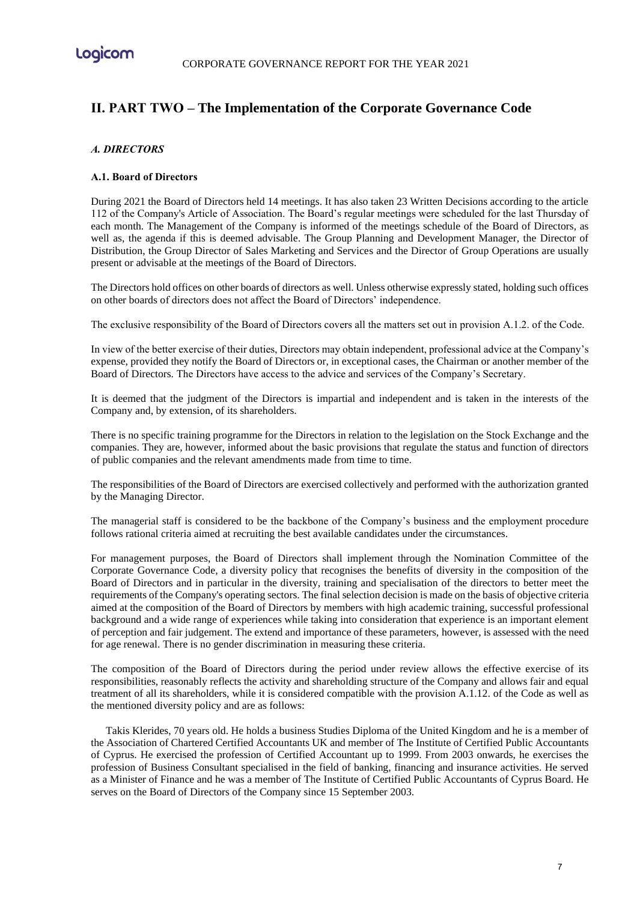

# **ΙΙ. PART TWO – The Implementation of the Corporate Governance Code**

## *Α. DIRECTORS*

### **Α.1. Board of Directors**

During 2021 the Board of Directors held 14 meetings. It has also taken 23 Written Decisions according to the article 112 of the Company's Article of Association. The Board's regular meetings were scheduled for the last Thursday of each month. The Management of the Company is informed of the meetings schedule of the Board of Directors, as well as, the agenda if this is deemed advisable. The Group Planning and Development Manager, the Director of Distribution, the Group Director of Sales Marketing and Services and the Director of Group Operations are usually present or advisable at the meetings of the Board of Directors.

The Directors hold offices on other boards of directors as well. Unless otherwise expressly stated, holding such offices on other boards of directors does not affect the Board of Directors' independence.

The exclusive responsibility of the Board of Directors covers all the matters set out in provision A.1.2. of the Code.

In view of the better exercise of their duties, Directors may obtain independent, professional advice at the Company's expense, provided they notify the Board of Directors or, in exceptional cases, the Chairman or another member of the Board of Directors. The Directors have access to the advice and services of the Company's Secretary.

It is deemed that the judgment of the Directors is impartial and independent and is taken in the interests of the Company and, by extension, of its shareholders.

There is no specific training programme for the Directors in relation to the legislation on the Stock Exchange and the companies. They are, however, informed about the basic provisions that regulate the status and function of directors of public companies and the relevant amendments made from time to time.

The responsibilities of the Board of Directors are exercised collectively and performed with the authorization granted by the Managing Director.

The managerial staff is considered to be the backbone of the Company's business and the employment procedure follows rational criteria aimed at recruiting the best available candidates under the circumstances.

For management purposes, the Board of Directors shall implement through the Nomination Committee of the Corporate Governance Code, a diversity policy that recognises the benefits of diversity in the composition of the Board of Directors and in particular in the diversity, training and specialisation of the directors to better meet the requirements of the Company's operating sectors. The final selection decision is made on the basis of objective criteria aimed at the composition of the Board of Directors by members with high academic training, successful professional background and a wide range of experiences while taking into consideration that experience is an important element of perception and fair judgement. The extend and importance of these parameters, however, is assessed with the need for age renewal. There is no gender discrimination in measuring these criteria.

The composition of the Board of Directors during the period under review allows the effective exercise of its responsibilities, reasonably reflects the activity and shareholding structure of the Company and allows fair and equal treatment of all its shareholders, while it is considered compatible with the provision A.1.12. of the Code as well as the mentioned diversity policy and are as follows:

Takis Klerides, 70 years old. He holds a business Studies Diploma of the United Kingdom and he is a member of the Association of Chartered Certified Accountants UK and member of The Institute of Certified Public Accountants of Cyprus. He exercised the profession of Certified Accountant up to 1999. From 2003 onwards, he exercises the profession of Business Consultant specialised in the field of banking, financing and insurance activities. He served as a Minister of Finance and he was a member of The Institute of Certified Public Accountants of Cyprus Board. He serves on the Board of Directors of the Company since 15 September 2003.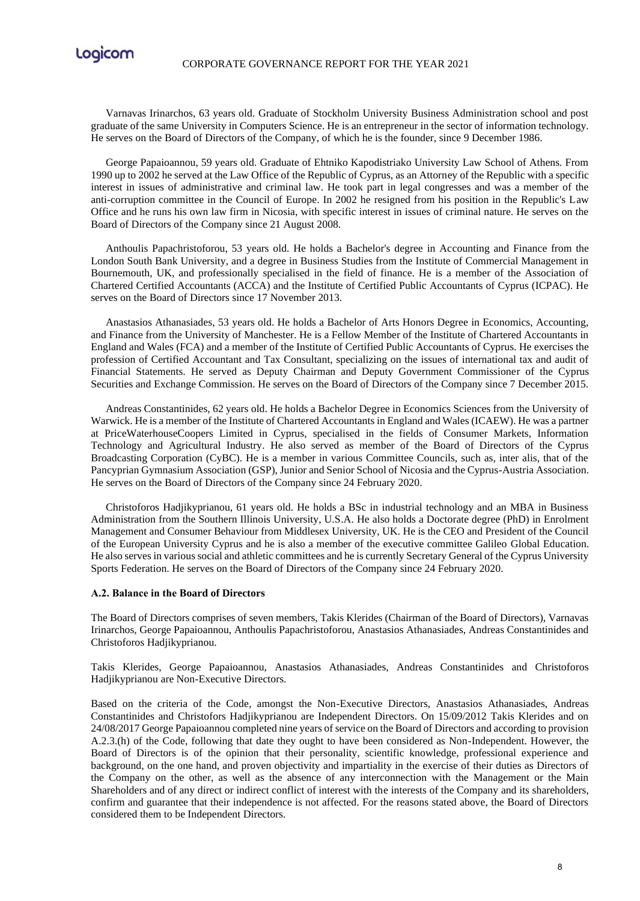

Varnavas Irinarchos, 63 years old. Graduate of Stockholm University Business Administration school and post graduate of the same University in Computers Science. He is an entrepreneur in the sector of information technology. He serves on the Board of Directors of the Company, of which he is the founder, since 9 December 1986.

George Papaioannou, 59 years old. Graduate of Ehtniko Kapodistriako University Law School of Athens. From 1990 up to 2002 he served at the Law Office of the Republic of Cyprus, as an Attorney of the Republic with a specific interest in issues of administrative and criminal law. He took part in legal congresses and was a member of the anti-corruption committee in the Council of Europe. In 2002 he resigned from his position in the Republic's Law Office and he runs his own law firm in Nicosia, with specific interest in issues of criminal nature. He serves on the Board of Directors of the Company since 21 August 2008.

Anthoulis Papachristoforou, 53 years old. He holds a Bachelor's degree in Accounting and Finance from the London South Bank University, and a degree in Business Studies from the Institute of Commercial Management in Bournemouth, UK, and professionally specialised in the field of finance. He is a member of the Association of Chartered Certified Accountants (ACCA) and the Institute of Certified Public Accountants of Cyprus (ICPAC). He serves on the Board of Directors since 17 November 2013.

Anastasios Athanasiades, 53 years old. He holds a Bachelor of Arts Honors Degree in Economics, Accounting, and Finance from the University of Manchester. He is a Fellow Member of the Institute of Chartered Accountants in England and Wales (FCA) and a member of the Institute of Certified Public Accountants of Cyprus. He exercises the profession of Certified Accountant and Tax Consultant, specializing on the issues of international tax and audit of Financial Statements. He served as Deputy Chairman and Deputy Government Commissioner of the Cyprus Securities and Exchange Commission. He serves on the Board of Directors of the Company since 7 December 2015.

Andreas Constantinides, 62 years old. He holds a Bachelor Degree in Economics Sciences from the University of Warwick. He is a member of the Institute of Chartered Accountants in England and Wales (ICAEW). He was a partner at PriceWaterhouseCoopers Limited in Cyprus, specialised in the fields of Consumer Markets, Information Technology and Agricultural Industry. He also served as member of the Board of Directors of the Cyprus Broadcasting Corporation (CyBC). He is a member in various Committee Councils, such as, inter alis, that of the Pancyprian Gymnasium Association (GSP), Junior and Senior School of Nicosia and the Cyprus-Austria Association. He serves on the Board of Directors of the Company since 24 February 2020.

Christoforos Hadjikyprianou, 61 years old. He holds a BSc in industrial technology and an MBA in Business Administration from the Southern Illinois University, U.S.A. He also holds a Doctorate degree (PhD) in Enrolment Management and Consumer Behaviour from Middlesex University, UK. He is the CEO and President of the Council of the European University Cyprus and he is also a member of the executive committee Galileo Global Education. He also serves in various social and athletic committees and he is currently Secretary General of the Cyprus University Sports Federation. He serves on the Board of Directors of the Company since 24 February 2020.

#### **Α.2. Balance in the Board of Directors**

The Board of Directors comprises of seven members, Takis Klerides (Chairman of the Board of Directors), Varnavas Irinarchos, George Papaioannou, Anthoulis Papachristoforou, Anastasios Athanasiades, Andreas Constantinides and Christoforos Hadjikyprianou.

Takis Klerides, George Papaioannou, Anastasios Athanasiades, Andreas Constantinides and Christoforos Hadjikyprianou are Non-Executive Directors.

Based on the criteria of the Code, amongst the Non-Executive Directors, Anastasios Athanasiades, Andreas Constantinides and Christofors Hadjikyprianou are Independent Directors. On 15/09/2012 Takis Klerides and on 24/08/2017 George Papaioannou completed nine years of service on the Board of Directors and according to provision A.2.3.(h) of the Code, following that date they ought to have been considered as Non-Independent. However, the Board of Directors is of the opinion that their personality, scientific knowledge, professional experience and background, on the one hand, and proven objectivity and impartiality in the exercise of their duties as Directors of the Company on the other, as well as the absence of any interconnection with the Management or the Main Shareholders and of any direct or indirect conflict of interest with the interests of the Company and its shareholders, confirm and guarantee that their independence is not affected. For the reasons stated above, the Board of Directors considered them to be Independent Directors.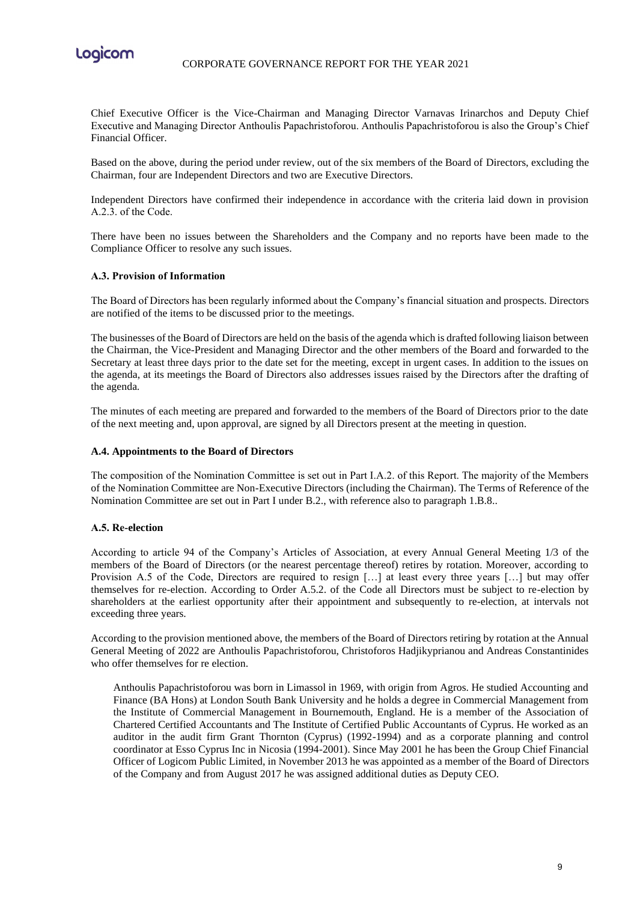

Chief Executive Officer is the Vice-Chairman and Managing Director Varnavas Irinarchos and Deputy Chief Executive and Managing Director Anthoulis Papachristoforou. Anthoulis Papachristoforou is also the Group's Chief Financial Officer.

Based on the above, during the period under review, out of the six members of the Board of Directors, excluding the Chairman, four are Independent Directors and two are Executive Directors.

Independent Directors have confirmed their independence in accordance with the criteria laid down in provision Α.2.3. of the Code.

There have been no issues between the Shareholders and the Company and no reports have been made to the Compliance Officer to resolve any such issues.

### **Α.3. Provision of Information**

The Board of Directors has been regularly informed about the Company's financial situation and prospects. Directors are notified of the items to be discussed prior to the meetings.

The businesses of the Board of Directors are held on the basis of the agenda which is drafted following liaison between the Chairman, the Vice-President and Managing Director and the other members of the Board and forwarded to the Secretary at least three days prior to the date set for the meeting, except in urgent cases. In addition to the issues on the agenda, at its meetings the Board of Directors also addresses issues raised by the Directors after the drafting of the agenda.

The minutes of each meeting are prepared and forwarded to the members of the Board of Directors prior to the date of the next meeting and, upon approval, are signed by all Directors present at the meeting in question.

#### **A.4. Appointments to the Board of Directors**

The composition of the Nomination Committee is set out in Part Ι.Α.2. of this Report. The majority of the Members of the Nomination Committee are Non-Executive Directors (including the Chairman). The Terms of Reference of the Nomination Committee are set out in Part I under B.2., with reference also to paragraph 1.B.8..

### **Α.5. Re-election**

According to article 94 of the Company's Articles of Association, at every Annual General Meeting 1/3 of the members of the Board of Directors (or the nearest percentage thereof) retires by rotation. Moreover, according to Provision A.5 of the Code, Directors are required to resign […] at least every three years […] but may offer themselves for re-election. According to Order A.5.2. of the Code all Directors must be subject to re-election by shareholders at the earliest opportunity after their appointment and subsequently to re-election, at intervals not exceeding three years.

According to the provision mentioned above, the members of the Board of Directors retiring by rotation at the Annual General Meeting of 2022 are Anthoulis Papachristoforou, Christoforos Hadjikyprianou and Andreas Constantinides who offer themselves for re election.

Anthoulis Papachristoforou was born in Limassol in 1969, with origin from Agros. He studied Accounting and Finance (BA Hons) at London South Bank University and he holds a degree in Commercial Management from the Institute of Commercial Management in Bournemouth, England. He is a member of the Association of Chartered Certified Accountants and The Institute of Certified Public Accountants of Cyprus. He worked as an auditor in the audit firm Grant Thornton (Cyprus) (1992-1994) and as a corporate planning and control coordinator at Esso Cyprus Inc in Nicosia (1994-2001). Since May 2001 he has been the Group Chief Financial Officer of Logicom Public Limited, in November 2013 he was appointed as a member of the Board of Directors of the Company and from August 2017 he was assigned additional duties as Deputy CEO.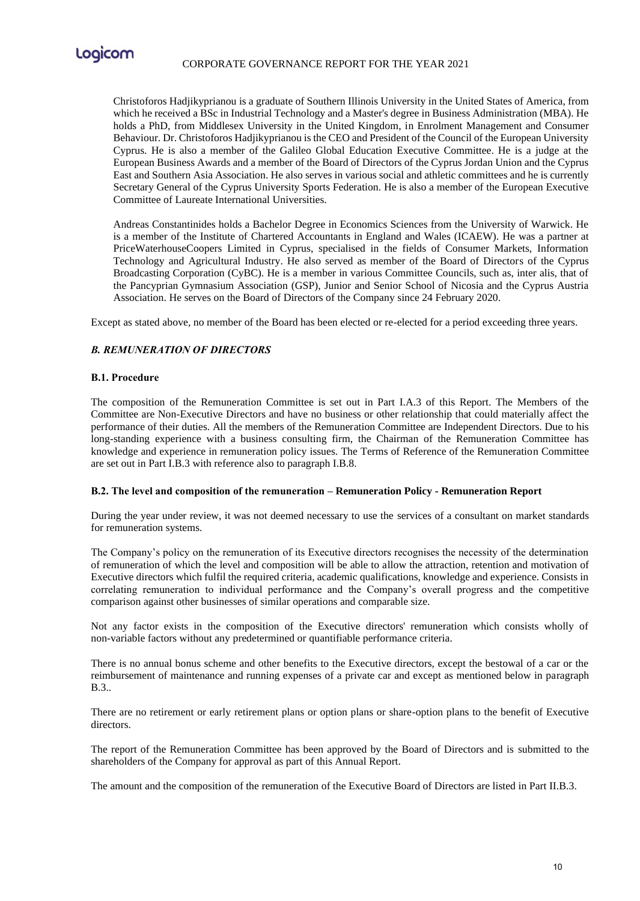

Christoforos Hadjikyprianou is a graduate of Southern Illinois University in the United States of America, from which he received a BSc in Industrial Technology and a Master's degree in Business Administration (MBA). He holds a PhD, from Middlesex University in the United Kingdom, in Enrolment Management and Consumer Behaviour. Dr. Christoforos Hadjikyprianou is the CEO and President of the Council of the European University Cyprus. He is also a member of the Galileo Global Education Executive Committee. He is a judge at the European Business Awards and a member of the Board of Directors of the Cyprus Jordan Union and the Cyprus East and Southern Asia Association. He also serves in various social and athletic committees and he is currently Secretary General of the Cyprus University Sports Federation. He is also a member of the European Executive Committee of Laureate International Universities.

Andreas Constantinides holds a Bachelor Degree in Economics Sciences from the University of Warwick. He is a member of the Institute of Chartered Accountants in England and Wales (ICAEW). He was a partner at PriceWaterhouseCoopers Limited in Cyprus, specialised in the fields of Consumer Markets, Information Technology and Agricultural Industry. He also served as member of the Board of Directors of the Cyprus Broadcasting Corporation (CyBC). He is a member in various Committee Councils, such as, inter alis, that of the Pancyprian Gymnasium Association (GSP), Junior and Senior School of Nicosia and the Cyprus Austria Association. He serves on the Board of Directors of the Company since 24 February 2020.

Except as stated above, no member of the Board has been elected or re-elected for a period exceeding three years.

# *Β. REMUNERATION OF DIRECTORS*

#### **Β.1. Procedure**

The composition of the Remuneration Committee is set out in Part I.A.3 of this Report. The Members of the Committee are Non-Executive Directors and have no business or other relationship that could materially affect the performance of their duties. All the members of the Remuneration Committee are Independent Directors. Due to his long-standing experience with a business consulting firm, the Chairman of the Remuneration Committee has knowledge and experience in remuneration policy issues. The Terms of Reference of the Remuneration Committee are set out in Part I.B.3 with reference also to paragraph I.B.8.

#### **Β.2. The level and composition of the remuneration – Remuneration Policy - Remuneration Report**

During the year under review, it was not deemed necessary to use the services of a consultant on market standards for remuneration systems.

The Company's policy on the remuneration of its Executive directors recognises the necessity of the determination of remuneration of which the level and composition will be able to allow the attraction, retention and motivation of Executive directors which fulfil the required criteria, academic qualifications, knowledge and experience. Consists in correlating remuneration to individual performance and the Company's overall progress and the competitive comparison against other businesses of similar operations and comparable size.

Not any factor exists in the composition of the Executive directors' remuneration which consists wholly of non-variable factors without any predetermined or quantifiable performance criteria.

There is no annual bonus scheme and other benefits to the Executive directors, except the bestowal of a car or the reimbursement of maintenance and running expenses of a private car and except as mentioned below in paragraph B.3..

There are no retirement or early retirement plans or option plans or share-option plans to the benefit of Executive directors.

The report of the Remuneration Committee has been approved by the Board of Directors and is submitted to the shareholders of the Company for approval as part of this Annual Report.

The amount and the composition of the remuneration of the Executive Board of Directors are listed in Part II.B.3.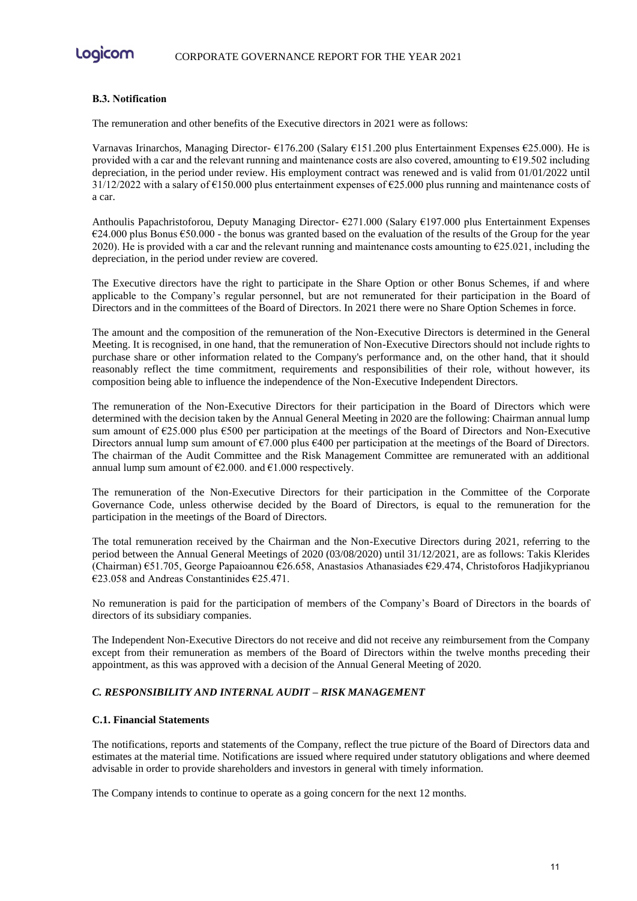Logicom

#### **Β.3. Notification**

The remuneration and other benefits of the Executive directors in 2021 were as follows:

Varnavas Irinarchos, Managing Director- €176.200 (Salary €151.200 plus Entertainment Expenses €25.000). He is provided with a car and the relevant running and maintenance costs are also covered, amounting to €19.502 including depreciation, in the period under review. His employment contract was renewed and is valid from 01/01/2022 until  $31/12/2022$  with a salary of €150.000 plus entertainment expenses of €25.000 plus running and maintenance costs of a car.

Anthoulis Papachristoforou, Deputy Managing Director- €271.000 (Salary €197.000 plus Entertainment Expenses  $€24.000$  plus Bonus  $€50.000$  - the bonus was granted based on the evaluation of the results of the Group for the year 2020). He is provided with a car and the relevant running and maintenance costs amounting to  $\epsilon$ 25.021, including the depreciation, in the period under review are covered.

The Executive directors have the right to participate in the Share Option or other Bonus Schemes, if and where applicable to the Company's regular personnel, but are not remunerated for their participation in the Board of Directors and in the committees of the Board of Directors. In 2021 there were no Share Option Schemes in force.

The amount and the composition of the remuneration of the Non-Executive Directors is determined in the General Meeting. It is recognised, in one hand, that the remuneration of Non-Executive Directors should not include rights to purchase share or other information related to the Company's performance and, on the other hand, that it should reasonably reflect the time commitment, requirements and responsibilities of their role, without however, its composition being able to influence the independence of the Non-Executive Independent Directors.

The remuneration of the Non-Executive Directors for their participation in the Board of Directors which were determined with the decision taken by the Annual General Meeting in 2020 are the following: Chairman annual lump sum amount of €25.000 plus €500 per participation at the meetings of the Board of Directors and Non-Executive Directors annual lump sum amount of  $\epsilon$ 7.000 plus  $\epsilon$ 400 per participation at the meetings of the Board of Directors. The chairman of the Audit Committee and the Risk Management Committee are remunerated with an additional annual lump sum amount of  $\epsilon$ 2.000. and  $\epsilon$ 1.000 respectively.

The remuneration of the Non-Executive Directors for their participation in the Committee of the Corporate Governance Code, unless otherwise decided by the Board of Directors, is equal to the remuneration for the participation in the meetings of the Board of Directors.

The total remuneration received by the Chairman and the Non-Executive Directors during 2021, referring to the period between the Annual General Meetings of 2020 (03/08/2020) until 31/12/2021, are as follows: Takis Klerides (Chairman) €51.705, George Papaioannou €26.658, Anastasios Athanasiades €29.474, Christoforos Hadjikyprianou €23.058 and Andreas Constantinides €25.471.

No remuneration is paid for the participation of members of the Company's Board of Directors in the boards of directors of its subsidiary companies.

The Independent Non-Executive Directors do not receive and did not receive any reimbursement from the Company except from their remuneration as members of the Board of Directors within the twelve months preceding their appointment, as this was approved with a decision of the Annual General Meeting of 2020.

# *C. RESPONSIBILITY AND INTERNAL AUDIT – RISK MANAGEMENT*

#### **C.1. Financial Statements**

The notifications, reports and statements of the Company, reflect the true picture of the Board of Directors data and estimates at the material time. Notifications are issued where required under statutory obligations and where deemed advisable in order to provide shareholders and investors in general with timely information.

The Company intends to continue to operate as a going concern for the next 12 months.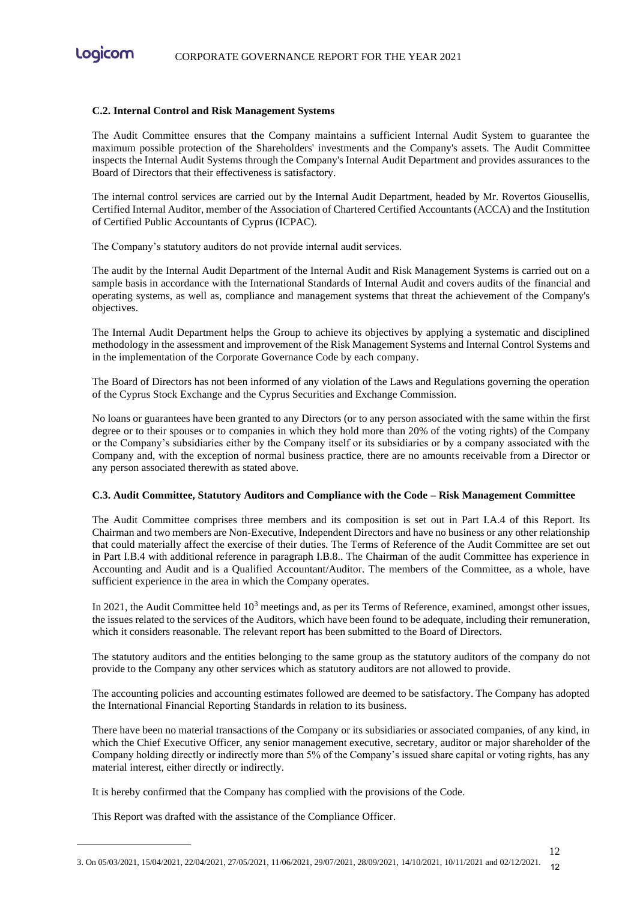

#### **C.2. Internal Control and Risk Management Systems**

The Audit Committee ensures that the Company maintains a sufficient Internal Audit System to guarantee the maximum possible protection of the Shareholders' investments and the Company's assets. The Audit Committee inspects the Internal Audit Systems through the Company's Internal Audit Department and provides assurances to the Board of Directors that their effectiveness is satisfactory.

The internal control services are carried out by the Internal Audit Department, headed by Mr. Rovertos Giousellis, Certified Internal Auditor, member of the Association of Chartered Certified Accountants (ACCA) and the Institution of Certified Public Accountants of Cyprus (ICPAC).

The Company's statutory auditors do not provide internal audit services.

The audit by the Internal Audit Department of the Internal Audit and Risk Management Systems is carried out on a sample basis in accordance with the International Standards of Internal Audit and covers audits of the financial and operating systems, as well as, compliance and management systems that threat the achievement of the Company's objectives.

The Internal Audit Department helps the Group to achieve its objectives by applying a systematic and disciplined methodology in the assessment and improvement of the Risk Management Systems and Internal Control Systems and in the implementation of the Corporate Governance Code by each company.

The Board of Directors has not been informed of any violation of the Laws and Regulations governing the operation of the Cyprus Stock Exchange and the Cyprus Securities and Exchange Commission.

No loans or guarantees have been granted to any Directors (or to any person associated with the same within the first degree or to their spouses or to companies in which they hold more than 20% of the voting rights) of the Company or the Company's subsidiaries either by the Company itself or its subsidiaries or by a company associated with the Company and, with the exception of normal business practice, there are no amounts receivable from a Director or any person associated therewith as stated above.

#### **C.3. Audit Committee, Statutory Auditors and Compliance with the Code – Risk Management Committee**

The Audit Committee comprises three members and its composition is set out in Part I.A.4 of this Report. Its Chairman and two members are Non-Executive, Independent Directors and have no business or any other relationship that could materially affect the exercise of their duties. The Terms of Reference of the Audit Committee are set out in Part I.B.4 with additional reference in paragraph I.B.8.. The Chairman of the audit Committee has experience in Accounting and Audit and is a Qualified Accountant/Auditor. The members of the Committee, as a whole, have sufficient experience in the area in which the Company operates.

In 2021, the Audit Committee held  $10<sup>3</sup>$  meetings and, as per its Terms of Reference, examined, amongst other issues, the issues related to the services of the Auditors, which have been found to be adequate, including their remuneration, which it considers reasonable. The relevant report has been submitted to the Board of Directors.

The statutory auditors and the entities belonging to the same group as the statutory auditors of the company do not provide to the Company any other services which as statutory auditors are not allowed to provide.

The accounting policies and accounting estimates followed are deemed to be satisfactory. The Company has adopted the International Financial Reporting Standards in relation to its business.

There have been no material transactions of the Company or its subsidiaries or associated companies, of any kind, in which the Chief Executive Officer, any senior management executive, secretary, auditor or major shareholder of the Company holding directly or indirectly more than 5% of the Company's issued share capital or voting rights, has any material interest, either directly or indirectly.

12

It is hereby confirmed that the Company has complied with the provisions of the Code.

This Report was drafted with the assistance of the Compliance Officer.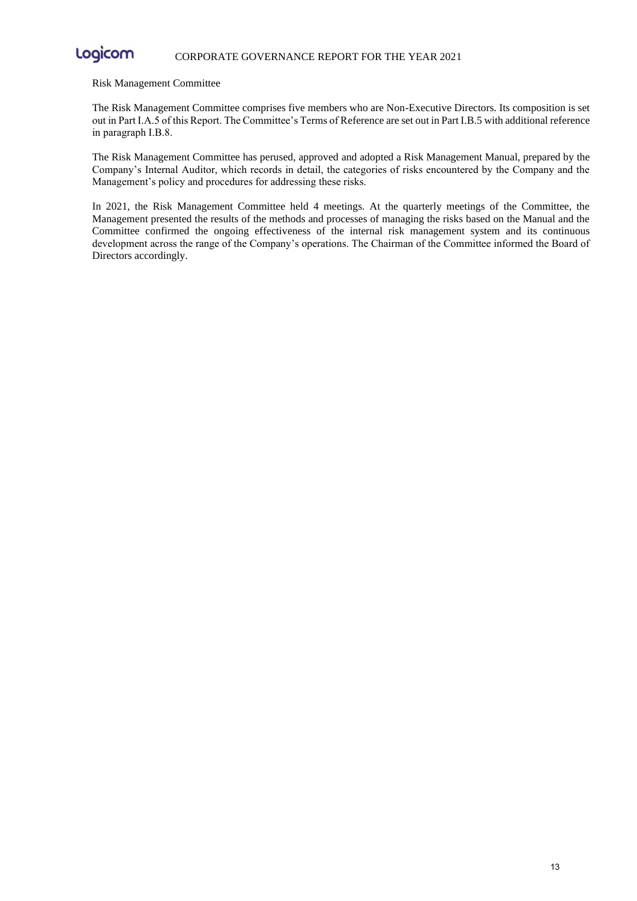#### Logicom CORPORATE GOVERNANCE REPORT FOR THE YEAR 2021

#### Risk Management Committee

The Risk Management Committee comprises five members who are Non-Executive Directors. Its composition is set out in Part I.A.5 of this Report. The Committee's Terms of Reference are set out in Part I.B.5 with additional reference in paragraph Ι.Β.8.

The Risk Management Committee has perused, approved and adopted a Risk Management Manual, prepared by the Company's Internal Auditor, which records in detail, the categories of risks encountered by the Company and the Management's policy and procedures for addressing these risks.

In 2021, the Risk Management Committee held 4 meetings. At the quarterly meetings of the Committee, the Management presented the results of the methods and processes of managing the risks based on the Manual and the Committee confirmed the ongoing effectiveness of the internal risk management system and its continuous development across the range of the Company's operations. The Chairman of the Committee informed the Board of Directors accordingly.